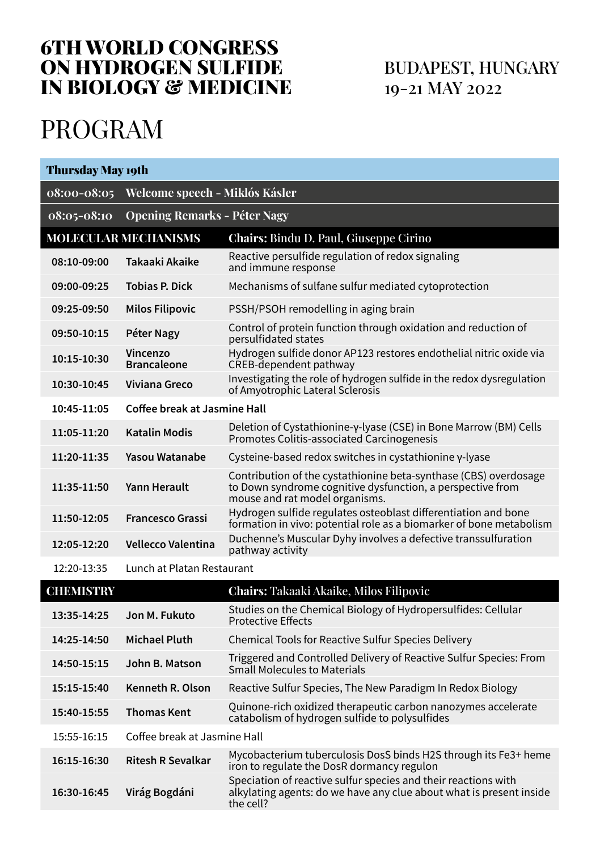# 6TH WORLD CONGRESS ON HYDROGEN SULFIDE IN BIOLOGY & MEDICINE

# BUDAPEST, HUNGARY 19-21 MAY 2022

# PROGRAM

| <b>Thursday May 19th</b> |                                     |                                                                                                                                                                  |  |  |
|--------------------------|-------------------------------------|------------------------------------------------------------------------------------------------------------------------------------------------------------------|--|--|
| 08:00-08:05              | Welcome speech - Miklós Kásler      |                                                                                                                                                                  |  |  |
| 08:05-08:10              | <b>Opening Remarks - Péter Nagy</b> |                                                                                                                                                                  |  |  |
|                          | <b>MOLECULAR MECHANISMS</b>         | Chairs: Bindu D. Paul, Giuseppe Cirino                                                                                                                           |  |  |
| 08:10-09:00              | Takaaki Akaike                      | Reactive persulfide regulation of redox signaling<br>and immune response                                                                                         |  |  |
| 09:00-09:25              | <b>Tobias P. Dick</b>               | Mechanisms of sulfane sulfur mediated cytoprotection                                                                                                             |  |  |
| 09:25-09:50              | <b>Milos Filipovic</b>              | PSSH/PSOH remodelling in aging brain                                                                                                                             |  |  |
| 09:50-10:15              | Péter Nagy                          | Control of protein function through oxidation and reduction of<br>persulfidated states                                                                           |  |  |
| 10:15-10:30              | Vincenzo<br><b>Brancaleone</b>      | Hydrogen sulfide donor AP123 restores endothelial nitric oxide via<br>CREB-dependent pathway                                                                     |  |  |
| 10:30-10:45              | Viviana Greco                       | Investigating the role of hydrogen sulfide in the redox dysregulation<br>of Amyotrophic Lateral Sclerosis                                                        |  |  |
| 10:45-11:05              | Coffee break at Jasmine Hall        |                                                                                                                                                                  |  |  |
| 11:05-11:20              | Katalin Modis                       | Deletion of Cystathionine-γ-lyase (CSE) in Bone Marrow (BM) Cells<br>Promotes Colitis-associated Carcinogenesis                                                  |  |  |
| 11:20-11:35              | Yasou Watanabe                      | Cysteine-based redox switches in cystathionine γ-lyase                                                                                                           |  |  |
| 11:35-11:50              | Yann Herault                        | Contribution of the cystathionine beta-synthase (CBS) overdosage<br>to Down syndrome cognitive dysfunction, a perspective from<br>mouse and rat model organisms. |  |  |
| 11:50-12:05              | <b>Francesco Grassi</b>             | Hydrogen sulfide regulates osteoblast differentiation and bone<br>formation in vivo: potential role as a biomarker of bone metabolism                            |  |  |
| 12:05-12:20              | Vellecco Valentina                  | Duchenne's Muscular Dyhy involves a defective transsulfuration<br>pathway activity                                                                               |  |  |
| 12:20-13:35              | Lunch at Platan Restaurant          |                                                                                                                                                                  |  |  |
| <b>CHEMISTRY</b>         |                                     | Chairs: Takaaki Akaike, Milos Filipovic                                                                                                                          |  |  |
| 13:35-14:25              | Jon M. Fukuto                       | Studies on the Chemical Biology of Hydropersulfides: Cellular<br><b>Protective Effects</b>                                                                       |  |  |
| 14:25-14:50              | <b>Michael Pluth</b>                | Chemical Tools for Reactive Sulfur Species Delivery                                                                                                              |  |  |
| 14:50-15:15              | John B. Matson                      | Triggered and Controlled Delivery of Reactive Sulfur Species: From<br><b>Small Molecules to Materials</b>                                                        |  |  |
| 15:15-15:40              | Kenneth R. Olson                    | Reactive Sulfur Species, The New Paradigm In Redox Biology                                                                                                       |  |  |
| 15:40-15:55              | <b>Thomas Kent</b>                  | Quinone-rich oxidized therapeutic carbon nanozymes accelerate<br>catabolism of hydrogen sulfide to polysulfides                                                  |  |  |
| 15:55-16:15              | Coffee break at Jasmine Hall        |                                                                                                                                                                  |  |  |
| 16:15-16:30              | <b>Ritesh R Sevalkar</b>            | Mycobacterium tuberculosis DosS binds H2S through its Fe3+ heme<br>iron to regulate the DosR dormancy regulon                                                    |  |  |
| 16:30-16:45              | Virág Bogdáni                       | Speciation of reactive sulfur species and their reactions with<br>alkylating agents: do we have any clue about what is present inside<br>the cell?               |  |  |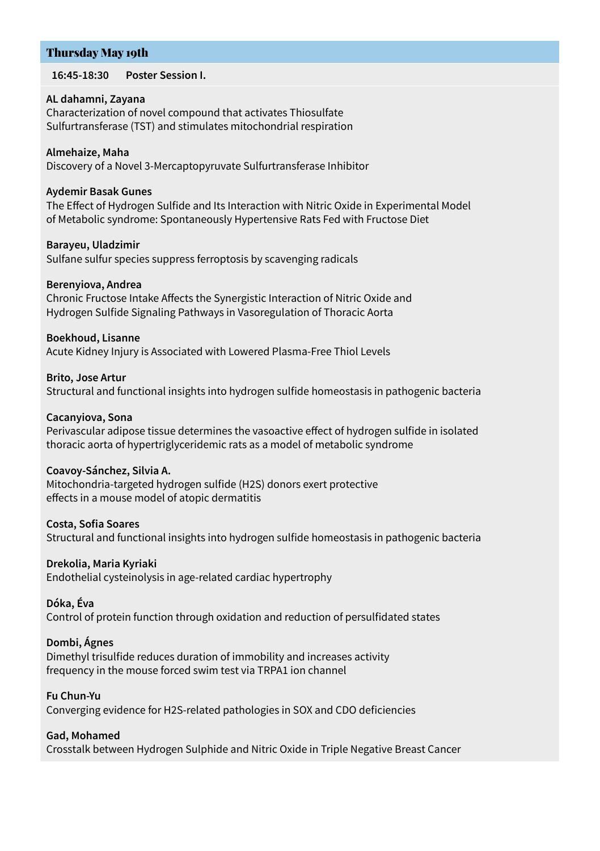# Thursday May 19th

**16:45-18:30 Poster Session I.**

#### **AL dahamni, Zayana**

Characterization of novel compound that activates Thiosulfate Sulfurtransferase (TST) and stimulates mitochondrial respiration

#### **Almehaize, Maha**

Discovery of a Novel 3-Mercaptopyruvate Sulfurtransferase Inhibitor

#### **Aydemir Basak Gunes**

The Effect of Hydrogen Sulfide and Its Interaction with Nitric Oxide in Experimental Model of Metabolic syndrome: Spontaneously Hypertensive Rats Fed with Fructose Diet

#### **Barayeu, Uladzimir**

Sulfane sulfur species suppress ferroptosis by scavenging radicals

#### **Berenyiova, Andrea**

Chronic Fructose Intake Affects the Synergistic Interaction of Nitric Oxide and Hydrogen Sulfide Signaling Pathways in Vasoregulation of Thoracic Aorta

#### **Boekhoud, Lisanne**

Acute Kidney Injury is Associated with Lowered Plasma-Free Thiol Levels

#### **Brito, Jose Artur**

Structural and functional insights into hydrogen sulfide homeostasis in pathogenic bacteria

#### **Cacanyiova, Sona**

Perivascular adipose tissue determines the vasoactive effect of hydrogen sulfide in isolated thoracic aorta of hypertriglyceridemic rats as a model of metabolic syndrome

#### **Coavoy-Sánchez, Silvia A.**

Mitochondria-targeted hydrogen sulfide (H2S) donors exert protective effects in a mouse model of atopic dermatitis

#### **Costa, Sofia Soares**

Structural and functional insights into hydrogen sulfide homeostasis in pathogenic bacteria

#### **Drekolia, Maria Kyriaki**

Endothelial cysteinolysis in age-related cardiac hypertrophy

#### **Dóka, Éva**

Control of protein function through oxidation and reduction of persulfidated states

# **Dombi, Ágnes**

Dimethyl trisulfide reduces duration of immobility and increases activity frequency in the mouse forced swim test via TRPA1 ion channel

# **Fu Chun-Yu**

Converging evidence for H2S-related pathologies in SOX and CDO deficiencies

#### **Gad, Mohamed**

Crosstalk between Hydrogen Sulphide and Nitric Oxide in Triple Negative Breast Cancer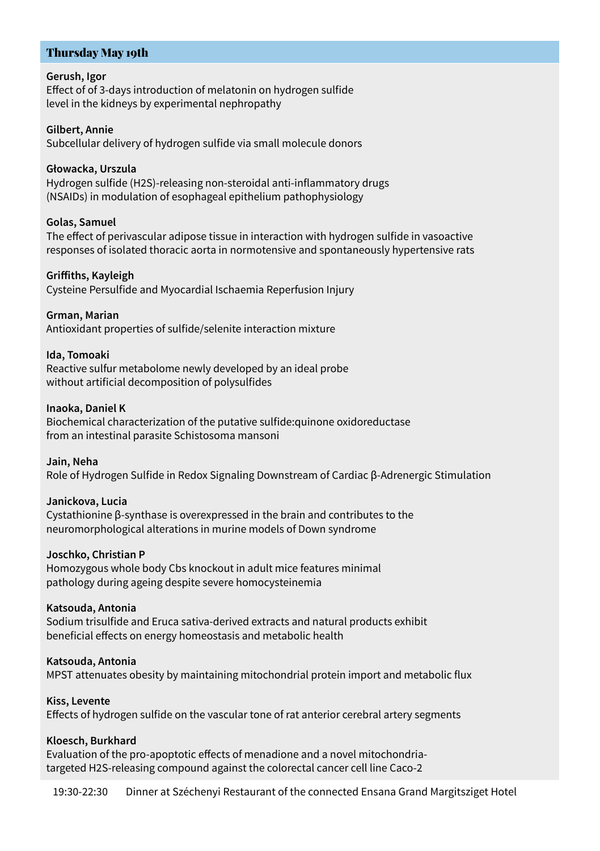# Thursday May 19th

#### **Gerush, Igor**

Effect of of 3-days introduction of melatonin on hydrogen sulfide level in the kidneys by experimental nephropathy

#### **Gilbert, Annie**

Subcellular delivery of hydrogen sulfide via small molecule donors

#### **Głowacka, Urszula**

Hydrogen sulfide (H2S)-releasing non-steroidal anti-inflammatory drugs (NSAIDs) in modulation of esophageal epithelium pathophysiology

#### **Golas, Samuel**

The effect of perivascular adipose tissue in interaction with hydrogen sulfide in vasoactive responses of isolated thoracic aorta in normotensive and spontaneously hypertensive rats

#### **Griffiths, Kayleigh**

Cysteine Persulfide and Myocardial Ischaemia Reperfusion Injury

#### **Grman, Marian**

Antioxidant properties of sulfide/selenite interaction mixture

#### **Ida, Tomoaki**

Reactive sulfur metabolome newly developed by an ideal probe without artificial decomposition of polysulfides

#### **Inaoka, Daniel K**

Biochemical characterization of the putative sulfide:quinone oxidoreductase from an intestinal parasite Schistosoma mansoni

#### **Jain, Neha**

Role of Hydrogen Sulfide in Redox Signaling Downstream of Cardiac β-Adrenergic Stimulation

#### **Janickova, Lucia**

Cystathionine β-synthase is overexpressed in the brain and contributes to the neuromorphological alterations in murine models of Down syndrome

#### **Joschko, Christian P**

Homozygous whole body Cbs knockout in adult mice features minimal pathology during ageing despite severe homocysteinemia

#### **Katsouda, Αntonia**

Sodium trisulfide and Eruca sativa-derived extracts and natural products exhibit beneficial effects on energy homeostasis and metabolic health

#### **Katsouda, Αntonia**

MPST attenuates obesity by maintaining mitochondrial protein import and metabolic flux

#### **Kiss, Levente**

Effects of hydrogen sulfide on the vascular tone of rat anterior cerebral artery segments

#### **Kloesch, Burkhard**

Evaluation of the pro-apoptotic effects of menadione and a novel mitochondriatargeted H2S-releasing compound against the colorectal cancer cell line Caco-2

19:30-22:30 Dinner at Széchenyi Restaurant of the connected Ensana Grand Margitsziget Hotel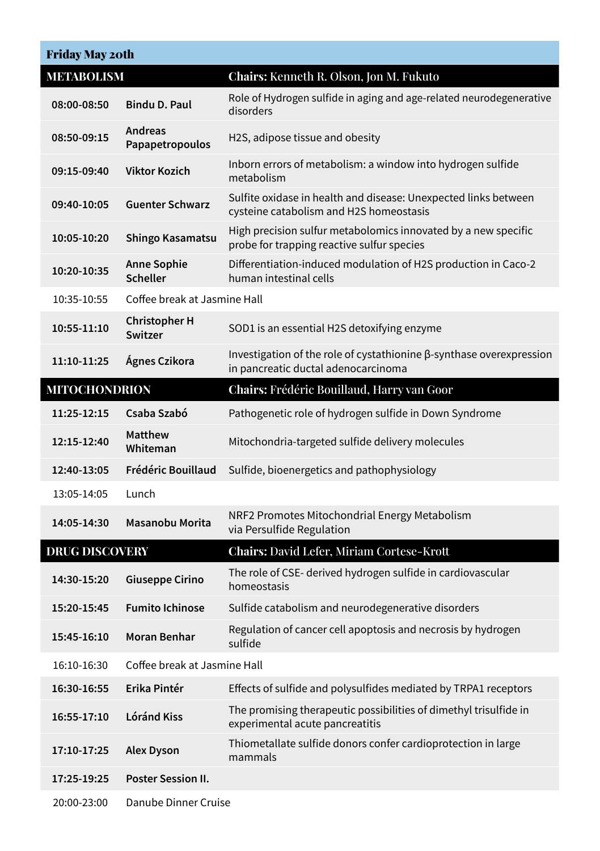| <b>Friday May 20th</b> |                                       |                                                                                                                    |  |  |
|------------------------|---------------------------------------|--------------------------------------------------------------------------------------------------------------------|--|--|
| <b>METABOLISM</b>      |                                       | Chairs: Kenneth R. Olson, Jon M. Fukuto                                                                            |  |  |
| 08:00-08:50            | <b>Bindu D. Paul</b>                  | Role of Hydrogen sulfide in aging and age-related neurodegenerative<br>disorders                                   |  |  |
| 08:50-09:15            | <b>Andreas</b><br>Papapetropoulos     | H2S, adipose tissue and obesity                                                                                    |  |  |
| 09:15-09:40            | <b>Viktor Kozich</b>                  | Inborn errors of metabolism: a window into hydrogen sulfide<br>metabolism                                          |  |  |
| 09:40-10:05            | <b>Guenter Schwarz</b>                | Sulfite oxidase in health and disease: Unexpected links between<br>cysteine catabolism and H2S homeostasis         |  |  |
| 10:05-10:20            | Shingo Kasamatsu                      | High precision sulfur metabolomics innovated by a new specific<br>probe for trapping reactive sulfur species       |  |  |
| 10:20-10:35            | <b>Anne Sophie</b><br><b>Scheller</b> | Differentiation-induced modulation of H2S production in Caco-2<br>human intestinal cells                           |  |  |
| 10:35-10:55            | Coffee break at Jasmine Hall          |                                                                                                                    |  |  |
| 10:55-11:10            | <b>Christopher H</b><br>Switzer       | SOD1 is an essential H2S detoxifying enzyme                                                                        |  |  |
| 11:10-11:25            | Ágnes Czikora                         | Investigation of the role of cystathionine $\beta$ -synthase overexpression<br>in pancreatic ductal adenocarcinoma |  |  |
| <b>MITOCHONDRION</b>   |                                       | Chairs: Frédéric Bouillaud, Harry van Goor                                                                         |  |  |
| 11:25-12:15            | Csaba Szabó                           | Pathogenetic role of hydrogen sulfide in Down Syndrome                                                             |  |  |
| 12:15-12:40            | <b>Matthew</b><br>Whiteman            | Mitochondria-targeted sulfide delivery molecules                                                                   |  |  |
| 12:40-13:05            | Frédéric Bouillaud                    | Sulfide, bioenergetics and pathophysiology                                                                         |  |  |
| 13:05-14:05            | Lunch                                 |                                                                                                                    |  |  |
| 14:05-14:30            | Masanobu Morita                       | NRF2 Promotes Mitochondrial Energy Metabolism<br>via Persulfide Regulation                                         |  |  |
| <b>DRUG DISCOVERY</b>  |                                       | <b>Chairs: David Lefer, Miriam Cortese-Krott</b>                                                                   |  |  |
| 14:30-15:20            | <b>Giuseppe Cirino</b>                | The role of CSE-derived hydrogen sulfide in cardiovascular<br>homeostasis                                          |  |  |
| 15:20-15:45            | <b>Fumito Ichinose</b>                | Sulfide catabolism and neurodegenerative disorders                                                                 |  |  |
| 15:45-16:10            | Moran Benhar                          | Regulation of cancer cell apoptosis and necrosis by hydrogen<br>sulfide                                            |  |  |
| 16:10-16:30            | Coffee break at Jasmine Hall          |                                                                                                                    |  |  |
| 16:30-16:55            | Erika Pintér                          | Effects of sulfide and polysulfides mediated by TRPA1 receptors                                                    |  |  |
| 16:55-17:10            | Lóránd Kiss                           | The promising therapeutic possibilities of dimethyl trisulfide in<br>experimental acute pancreatitis               |  |  |
| 17:10-17:25            | <b>Alex Dyson</b>                     | Thiometallate sulfide donors confer cardioprotection in large<br>mammals                                           |  |  |
| 17:25-19:25            | Poster Session II.                    |                                                                                                                    |  |  |
| 20:00-23:00            | Danube Dinner Cruise                  |                                                                                                                    |  |  |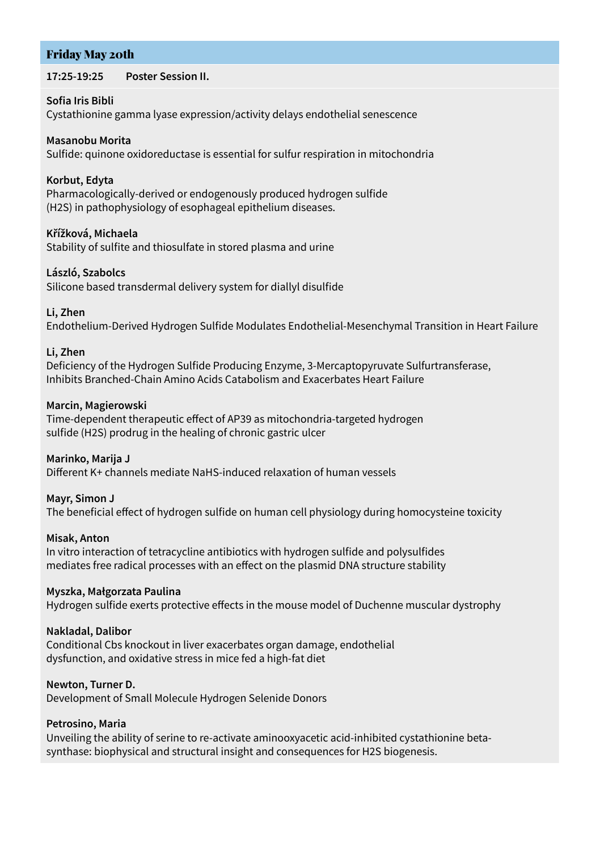# Friday May 20th

#### **17:25-19:25 Poster Session II.**

#### **Sofia Iris Bibli**

Cystathionine gamma lyase expression/activity delays endothelial senescence

#### **Masanobu Morita**

Sulfide: quinone oxidoreductase is essential for sulfur respiration in mitochondria

#### **Korbut, Edyta**

Pharmacologically-derived or endogenously produced hydrogen sulfide (H2S) in pathophysiology of esophageal epithelium diseases.

#### **Křížková, Michaela**

Stability of sulfite and thiosulfate in stored plasma and urine

#### **László, Szabolcs**

Silicone based transdermal delivery system for diallyl disulfide

#### **Li, Zhen**

Endothelium-Derived Hydrogen Sulfide Modulates Endothelial-Mesenchymal Transition in Heart Failure

#### **Li, Zhen**

Deficiency of the Hydrogen Sulfide Producing Enzyme, 3-Mercaptopyruvate Sulfurtransferase, Inhibits Branched-Chain Amino Acids Catabolism and Exacerbates Heart Failure

#### **Marcin, Magierowski**

Time-dependent therapeutic effect of AP39 as mitochondria-targeted hydrogen sulfide (H2S) prodrug in the healing of chronic gastric ulcer

#### **Marinko, Marija J**

Different K+ channels mediate NaHS-induced relaxation of human vessels

#### **Mayr, Simon J**

The beneficial effect of hydrogen sulfide on human cell physiology during homocysteine toxicity

#### **Misak, Anton**

In vitro interaction of tetracycline antibiotics with hydrogen sulfide and polysulfides mediates free radical processes with an effect on the plasmid DNA structure stability

#### **Myszka, Małgorzata Paulina**

Hydrogen sulfide exerts protective effects in the mouse model of Duchenne muscular dystrophy

#### **Nakladal, Dalibor**

Conditional Cbs knockout in liver exacerbates organ damage, endothelial dysfunction, and oxidative stress in mice fed a high-fat diet

#### **Newton, Turner D.**

Development of Small Molecule Hydrogen Selenide Donors

#### **Petrosino, Maria**

Unveiling the ability of serine to re-activate aminooxyacetic acid-inhibited cystathionine betasynthase: biophysical and structural insight and consequences for H2S biogenesis.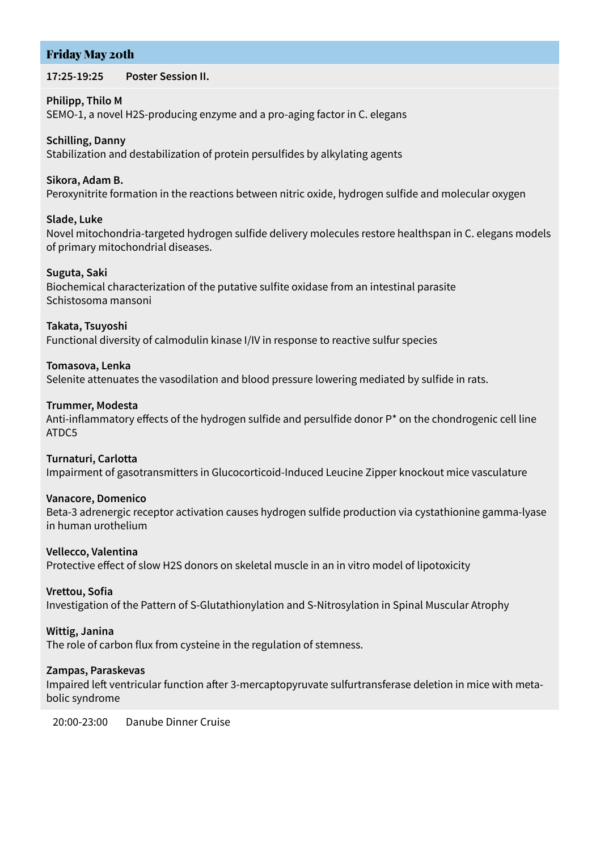# Friday May 20th

#### **17:25-19:25 Poster Session II.**

#### **Philipp, Thilo M**

SEMO-1, a novel H2S-producing enzyme and a pro-aging factor in C. elegans

# **Schilling, Danny**

Stabilization and destabilization of protein persulfides by alkylating agents

#### **Sikora, Adam B.**

Peroxynitrite formation in the reactions between nitric oxide, hydrogen sulfide and molecular oxygen

## **Slade, Luke**

Novel mitochondria-targeted hydrogen sulfide delivery molecules restore healthspan in C. elegans models of primary mitochondrial diseases.

## **Suguta, Saki**

Biochemical characterization of the putative sulfite oxidase from an intestinal parasite Schistosoma mansoni

#### **Takata, Tsuyoshi**

Functional diversity of calmodulin kinase I/IV in response to reactive sulfur species

# **Tomasova, Lenka**

Selenite attenuates the vasodilation and blood pressure lowering mediated by sulfide in rats.

#### **Trummer, Modesta**

Anti-inflammatory effects of the hydrogen sulfide and persulfide donor P\* on the chondrogenic cell line ATDC5

#### **Turnaturi, Carlotta**

Impairment of gasotransmitters in Glucocorticoid-Induced Leucine Zipper knockout mice vasculature

#### **Vanacore, Domenico**

Beta-3 adrenergic receptor activation causes hydrogen sulfide production via cystathionine gamma-lyase in human urothelium

#### **Vellecco, Valentina**

Protective effect of slow H2S donors on skeletal muscle in an in vitro model of lipotoxicity

# **Vrettou, Sofia**

Investigation of the Pattern of S-Glutathionylation and S-Nitrosylation in Spinal Muscular Atrophy

# **Wittig, Janina**

The role of carbon flux from cysteine in the regulation of stemness.

# **Zampas, Paraskevas**

Impaired left ventricular function after 3-mercaptopyruvate sulfurtransferase deletion in mice with metabolic syndrome

20:00-23:00 Danube Dinner Cruise